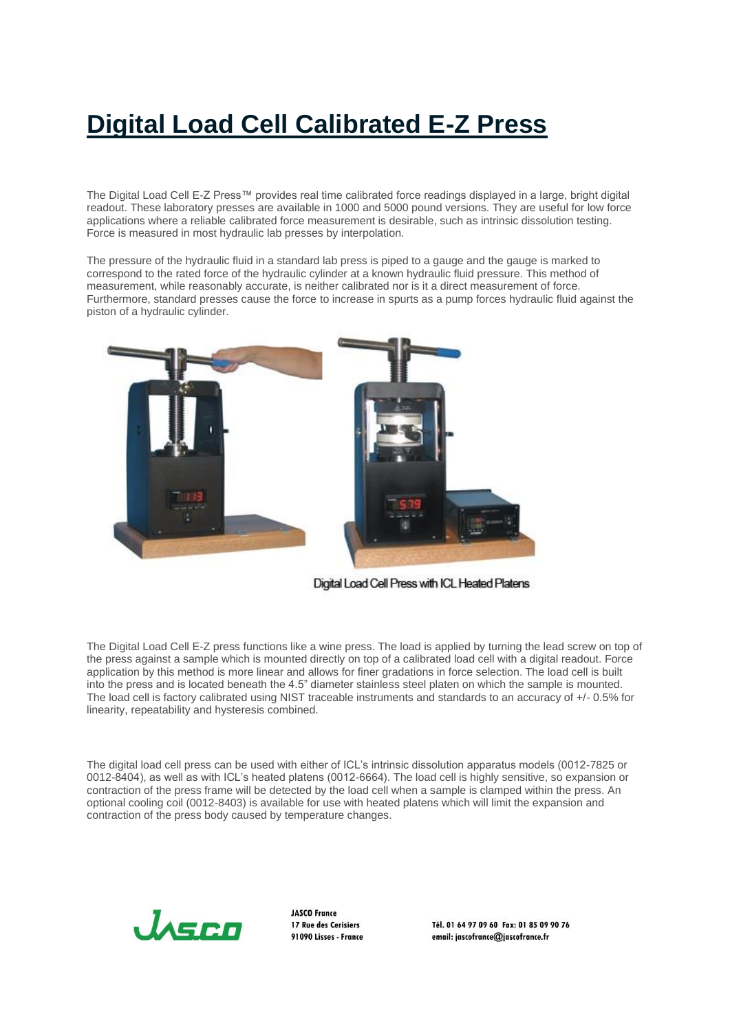## **Digital Load Cell Calibrated E-Z Press**

The Digital Load Cell E-Z Press™ provides real time calibrated force readings displayed in a large, bright digital readout. These laboratory presses are available in 1000 and 5000 pound versions. They are useful for low force applications where a reliable calibrated force measurement is desirable, such as intrinsic dissolution testing. Force is measured in most hydraulic lab presses by interpolation.

The pressure of the hydraulic fluid in a standard lab press is piped to a gauge and the gauge is marked to correspond to the rated force of the hydraulic cylinder at a known hydraulic fluid pressure. This method of measurement, while reasonably accurate, is neither calibrated nor is it a direct measurement of force. Furthermore, standard presses cause the force to increase in spurts as a pump forces hydraulic fluid against the piston of a hydraulic cylinder.



Digital Load Cell Press with ICL Heated Platens

The Digital Load Cell E-Z press functions like a wine press. The load is applied by turning the lead screw on top of the press against a sample which is mounted directly on top of a calibrated load cell with a digital readout. Force application by this method is more linear and allows for finer gradations in force selection. The load cell is built into the press and is located beneath the 4.5" diameter stainless steel platen on which the sample is mounted. The load cell is factory calibrated using NIST traceable instruments and standards to an accuracy of +/- 0.5% for linearity, repeatability and hysteresis combined.

The digital load cell press can be used with either of ICL's intrinsic dissolution apparatus models (0012-7825 or 0012-8404), as well as with ICL's heated platens (0012-6664). The load cell is highly sensitive, so expansion or contraction of the press frame will be detected by the load cell when a sample is clamped within the press. An optional cooling coil (0012-8403) is available for use with heated platens which will limit the expansion and contraction of the press body caused by temperature changes.



**JASCO France** 17 Rue des Cerisiers 91090 Lisses - France

Tél. 01 64 97 09 60 Fax: 01 85 09 90 76 email: jascofrance@jascofrance.fr